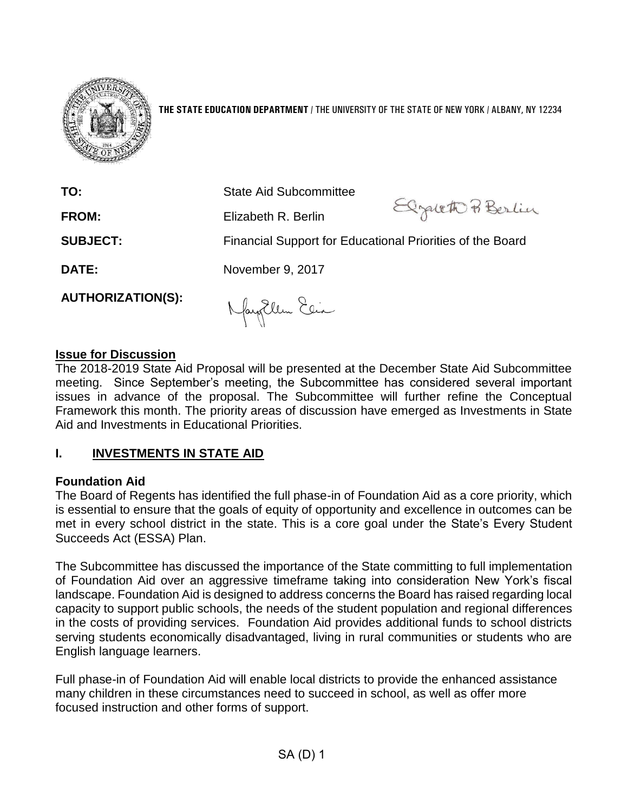

**THE STATE EDUCATION DEPARTMENT** / THE UNIVERSITY OF THE STATE OF NEW YORK / ALBANY, NY 12234

| TO:                      | <b>State Aid Subcommittee</b>                             |               |  |
|--------------------------|-----------------------------------------------------------|---------------|--|
| <b>FROM:</b>             | Elizabeth R. Berlin                                       | Elgath Berlin |  |
| <b>SUBJECT:</b>          | Financial Support for Educational Priorities of the Board |               |  |
| DATE:                    | November 9, 2017                                          |               |  |
| <b>AUTHORIZATION(S):</b> | $\lambda$ huiller $20.7$                                  |               |  |

#### **Issue for Discussion**

The 2018-2019 State Aid Proposal will be presented at the December State Aid Subcommittee meeting. Since September's meeting, the Subcommittee has considered several important issues in advance of the proposal. The Subcommittee will further refine the Conceptual Framework this month. The priority areas of discussion have emerged as Investments in State Aid and Investments in Educational Priorities.

#### **I. INVESTMENTS IN STATE AID**

#### **Foundation Aid**

The Board of Regents has identified the full phase-in of Foundation Aid as a core priority, which is essential to ensure that the goals of equity of opportunity and excellence in outcomes can be met in every school district in the state. This is a core goal under the State's Every Student Succeeds Act (ESSA) Plan.

The Subcommittee has discussed the importance of the State committing to full implementation of Foundation Aid over an aggressive timeframe taking into consideration New York's fiscal landscape. Foundation Aid is designed to address concerns the Board has raised regarding local capacity to support public schools, the needs of the student population and regional differences in the costs of providing services. Foundation Aid provides additional funds to school districts serving students economically disadvantaged, living in rural communities or students who are English language learners.

Full phase-in of Foundation Aid will enable local districts to provide the enhanced assistance many children in these circumstances need to succeed in school, as well as offer more focused instruction and other forms of support.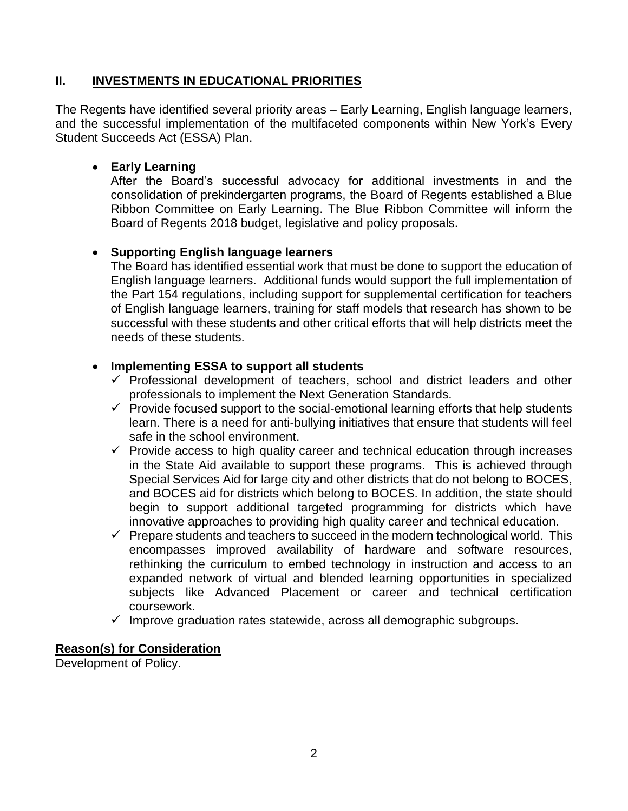#### **II. INVESTMENTS IN EDUCATIONAL PRIORITIES**

The Regents have identified several priority areas – Early Learning, English language learners, and the successful implementation of the multifaceted components within New York's Every Student Succeeds Act (ESSA) Plan.

#### • **Early Learning**

After the Board's successful advocacy for additional investments in and the consolidation of prekindergarten programs, the Board of Regents established a Blue Ribbon Committee on Early Learning. The Blue Ribbon Committee will inform the Board of Regents 2018 budget, legislative and policy proposals.

#### • **Supporting English language learners**

The Board has identified essential work that must be done to support the education of English language learners. Additional funds would support the full implementation of the Part 154 regulations, including support for supplemental certification for teachers of English language learners, training for staff models that research has shown to be successful with these students and other critical efforts that will help districts meet the needs of these students.

#### • **Implementing ESSA to support all students**

- $\checkmark$  Professional development of teachers, school and district leaders and other professionals to implement the Next Generation Standards.
- $\checkmark$  Provide focused support to the social-emotional learning efforts that help students learn. There is a need for anti-bullying initiatives that ensure that students will feel safe in the school environment.
- $\checkmark$  Provide access to high quality career and technical education through increases in the State Aid available to support these programs. This is achieved through Special Services Aid for large city and other districts that do not belong to BOCES, and BOCES aid for districts which belong to BOCES. In addition, the state should begin to support additional targeted programming for districts which have innovative approaches to providing high quality career and technical education.
- $\checkmark$  Prepare students and teachers to succeed in the modern technological world. This encompasses improved availability of hardware and software resources, rethinking the curriculum to embed technology in instruction and access to an expanded network of virtual and blended learning opportunities in specialized subjects like Advanced Placement or career and technical certification coursework.
- $\checkmark$  Improve graduation rates statewide, across all demographic subgroups.

#### **Reason(s) for Consideration**

Development of Policy.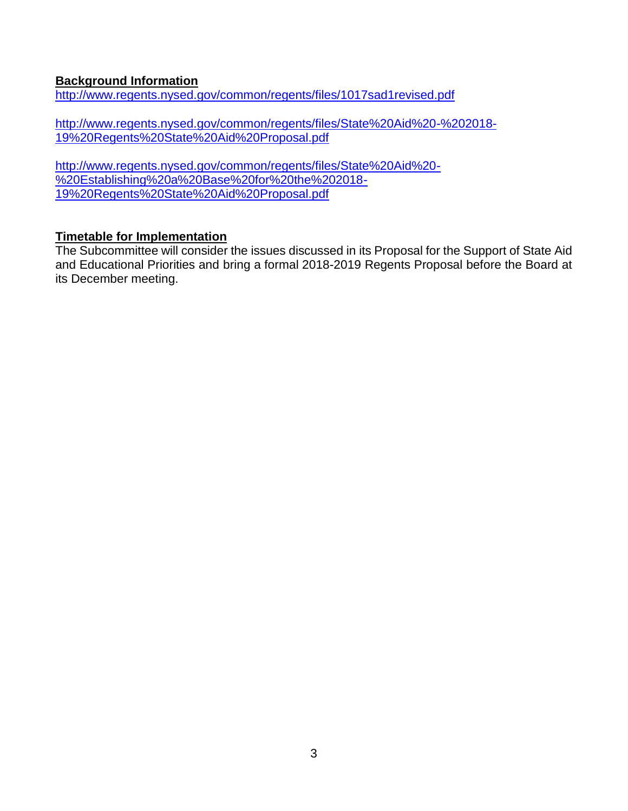#### **Background Information**

<http://www.regents.nysed.gov/common/regents/files/1017sad1revised.pdf>

[http://www.regents.nysed.gov/common/regents/files/State%20Aid%20-%202018-](http://www.regents.nysed.gov/common/regents/files/State%20Aid%20-%202018-19%20Regents%20State%20Aid%20Proposal.pdf) [19%20Regents%20State%20Aid%20Proposal.pdf](http://www.regents.nysed.gov/common/regents/files/State%20Aid%20-%202018-19%20Regents%20State%20Aid%20Proposal.pdf)

[http://www.regents.nysed.gov/common/regents/files/State%20Aid%20-](http://www.regents.nysed.gov/common/regents/files/State%20Aid%20-%20Establishing%20a%20Base%20for%20the%202018-19%20Regents%20State%20Aid%20Proposal.pdf) [%20Establishing%20a%20Base%20for%20the%202018-](http://www.regents.nysed.gov/common/regents/files/State%20Aid%20-%20Establishing%20a%20Base%20for%20the%202018-19%20Regents%20State%20Aid%20Proposal.pdf) [19%20Regents%20State%20Aid%20Proposal.pdf](http://www.regents.nysed.gov/common/regents/files/State%20Aid%20-%20Establishing%20a%20Base%20for%20the%202018-19%20Regents%20State%20Aid%20Proposal.pdf)

#### **Timetable for Implementation**

The Subcommittee will consider the issues discussed in its Proposal for the Support of State Aid and Educational Priorities and bring a formal 2018-2019 Regents Proposal before the Board at its December meeting.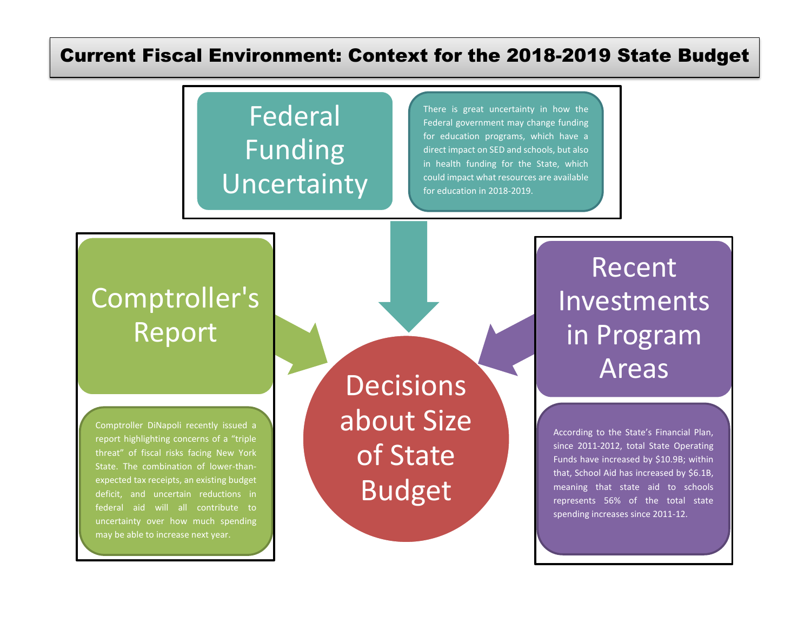### Current Fiscal Environment: Context for the 2018-2019 State Budget

## Federal Funding Uncertainty

There is great uncertainty in how the Federal government may change funding for education programs, which have a direct impact on SED and schools, but also in health funding for the State, which could impact what resources are available for education in 2018-2019.

### Comptroller's Report

Comptroller DiNapoli recently issued a report highlighting concerns of a "triple threat" of fiscal risks facing New York State. The combination of lower-thanexpected tax receipts, an existing budget deficit, and uncertain reductions in federal aid will all contribute to uncertainty over how much spending may be able to increase next year.

**Decisions** about Size of State Budget

# Recent Investments in Program Areas

According to the State's Financial Plan, since 2011-2012, total State Operating Funds have increased by \$10.9B; within that, School Aid has increased by \$6.1B, meaning that state aid to schools represents 56% of the total state spending increases since 2011-12.